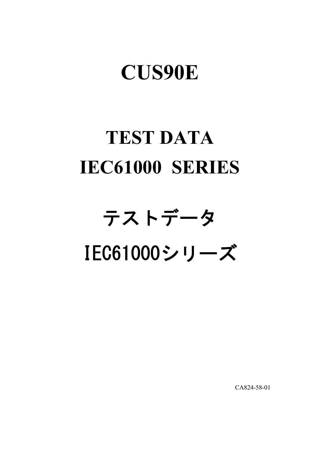# **CUS90E**

# **TEST DATA IEC61000 SERIES**

# テストデータ IEC61000シリーズ

CA824-58-01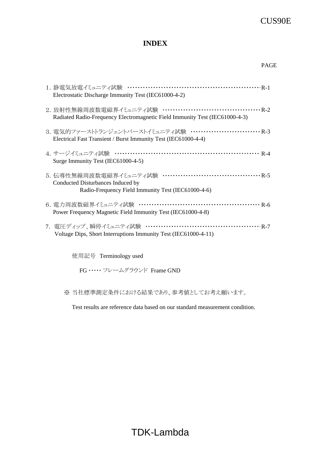### CUS90E

#### **INDEX**

| Electrostatic Discharge Immunity Test (IEC61000-4-2)                                                                              |
|-----------------------------------------------------------------------------------------------------------------------------------|
| Radiated Radio-Frequency Electromagnetic Field Immunity Test (IEC61000-4-3)                                                       |
| 3. 電気的ファーストトランジェントバーストイミュニティ試験 ・・・・・・・・・・・・・・・・・・・・・・・・・・・・ R-3<br>Electrical Fast Transient / Burst Immunity Test (IEC61000-4-4) |
| Surge Immunity Test (IEC61000-4-5)                                                                                                |
| Conducted Disturbances Induced by<br>Radio-Frequency Field Immunity Test (IEC61000-4-6)                                           |
| Power Frequency Magnetic Field Immunity Test (IEC61000-4-8)                                                                       |
| 7. 電圧ディップ、瞬停イミュニティ試験 ………………………………………… R-7<br>Voltage Dips, Short Interruptions Immunity Test (IEC61000-4-11)                      |

使用記号 Terminology used

FG ・・・・・ フレームグラウンド Frame GND

※ 当社標準測定条件における結果であり、参考値としてお考え願います。

Test results are reference data based on our standard measurement condition.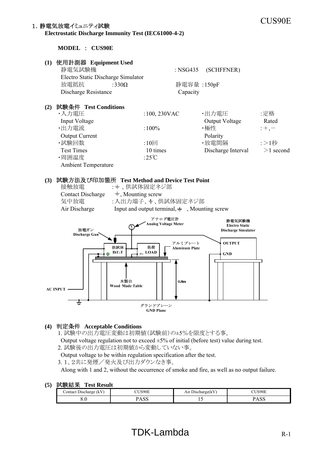## CUS90E 1.静電気放電イミュニティ試験

**Electrostatic Discharge Immunity Test (IEC61000-4-2)**

**MODEL** : **CUS90E**



#### **(4)** 判定条件 **Acceptable Conditions**

1. 試験中の出力電圧変動は初期値(試験前)の±5%を限度とする事。

Output voltage regulation not to exceed  $\pm 5\%$  of initial (before test) value during test.

2. 試験後の出力電圧は初期値から変動していない事。

Output voltage to be within regulation specification after the test.

3.1、2共に発煙/発火及び出力ダウンなき事。

Along with 1 and 2, without the occurrence of smoke and fire, as well as no output failure.

| .<br>: Discharge (<br>(KV)<br>ontact | $T^*$          | Air Discharge(kV | 'US90E                 |
|--------------------------------------|----------------|------------------|------------------------|
| υ.υ                                  | $\sim$<br>ט טב | . <u>.</u>       | $\Omega$<br>$\Delta U$ |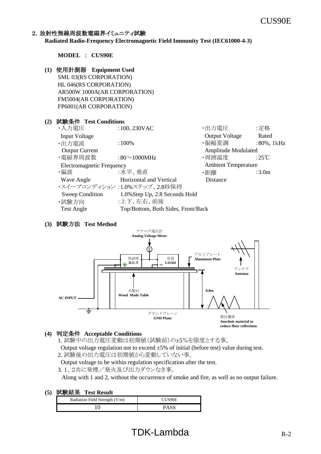#### 2. 放射性無線周波数電磁界イミュニティ試験

**Radiated Radio-Frequency Electromagnetic Field Immunity Test (IEC61000-4-3)**

**MODEL** : **CUS90E**

**(1)** 使用計測器  **Equipment Used** SML 03(RS CORPORATION) HL 046(RS CORPORATION) AR500W 1000A(AR CORPORATION) FM5004(AR CORPORATION) FP6001(AR CORPORATION)

#### **(2)** 試験条件 **Test Conditions**

| ・入力電圧                            | $:100,230$ VAC                     | ・出力電圧                      | :定格               |
|----------------------------------|------------------------------------|----------------------------|-------------------|
| <b>Input Voltage</b>             |                                    | <b>Output Voltage</b>      | Rated             |
| ・出力電流                            | $:100\%$                           | ・振幅変調                      | $:80\%$ , 1 $kHz$ |
| <b>Output Current</b>            |                                    | Amplitude Modulated        |                   |
| ・電磁界周波数                          | :80 $\sim$ 1000MHz                 | ・周囲温度                      | :25 $\mathrm{C}$  |
| <b>Electromagnetic Frequency</b> |                                    | <b>Ambient Temperature</b> |                   |
| ・偏波                              | :水平、垂直                             | ・距離                        | :3.0 <sub>m</sub> |
| Wave Angle                       | Horizontal and Vertical            | Distance                   |                   |
|                                  | ・スイープコンディション :1.0%ステップ、2.8秒保持      |                            |                   |
| Sweep Condition                  | 1.0% Step Up, 2.8 Seconds Hold     |                            |                   |
| ・試験方向                            | :上下、左右、前後                          |                            |                   |
| <b>Test Angle</b>                | Top/Bottom, Both Sides, Front/Back |                            |                   |
|                                  |                                    |                            |                   |

#### **(3)** 試験方法 **Test Method**



#### **(4)** 判定条件 **Acceptable Conditions**

1. 試験中の出力電圧変動は初期値(試験前)の±5%を限度とする事。

Output voltage regulation not to exceed  $\pm 5\%$  of initial (before test) value during test.

2. 試験後の出力電圧は初期値から変動していない事。

Output voltage to be within regulation specification after the test.

3.1、2共に発煙/発火及び出力ダウンなき事。

Along with 1 and 2, without the occurrence of smoke and fire, as well as no output failure.

| .<br>Radiation Field Strength (V/m) | CUS90E      |
|-------------------------------------|-------------|
|                                     | <b>PASS</b> |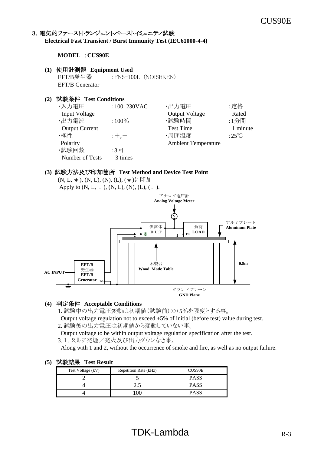#### 3. 電気的ファーストトランジェントバーストイミュニティ試験 **Electrical Fast Transient / Burst Immunity Test (IEC61000-4-4)**

**MODEL** :**CUS90E**

#### **(1)** 使用計測器 **Equipment Used**

EFT/B発生器 :FNS-100L (NOISEKEN) EFT/B Generator

#### **(2)** 試験条件 **Test Conditions**

| ・入力電圧                 | $:100,230$ VAC | ・出力電圧                      | :定格             |
|-----------------------|----------------|----------------------------|-----------------|
| Input Voltage         |                | <b>Output Voltage</b>      | Rated           |
| ・出力電流                 | $:100\%$       | ·試験時間                      | :1分間            |
| <b>Output Current</b> |                | <b>Test Time</b>           | 1 minute        |
| ・極性                   | $: +, -$       | ・周囲温度                      | :25 $\degree$ C |
| Polarity              |                | <b>Ambient Temperature</b> |                 |
| ・試験回数                 | :3回            |                            |                 |
| Number of Tests       | 3 times        |                            |                 |

#### **(3)** 試験方法及び印加箇所 **Test Method and Device Test Point**

(N, L,  $\pm$ ), (N, L), (N), (L), ( $\pm$ )に印加 Apply to  $(N, L, \frac{1}{2})$ ,  $(N, L)$ ,  $(N)$ ,  $(L)$ ,  $(\frac{1}{2})$ .



#### **(4)** 判定条件 **Acceptable Conditions**

1. 試験中の出力電圧変動は初期値(試験前)の±5%を限度とする事。

Output voltage regulation not to exceed  $\pm 5\%$  of initial (before test) value during test. 2. 試験後の出力電圧は初期値から変動していない事。

 Output voltage to be within output voltage regulation specification after the test. 3.1、2共に発煙/発火及び出力ダウンなき事。

Along with 1 and 2, without the occurrence of smoke and fire, as well as no output failure.

| Test Voltage (kV) | Repetition Rate (kHz) | <b>CUS90E</b> |
|-------------------|-----------------------|---------------|
|                   |                       | <b>PASS</b>   |
|                   |                       | <b>PASS</b>   |
|                   |                       | P∆ S          |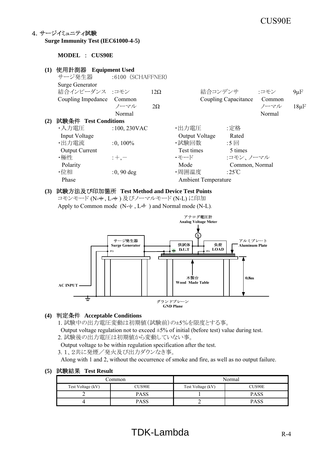## CUS90E

#### 4.サージイミュニティ試験

**Surge Immunity Test (IEC61000-4-5)**

**MODEL** : **CUS90E**

#### **(1)** 使用計測器  **Equipment Used** サージ発生器 :6100 (SCHAFFNER) Surge Generator 結合インピーダンス :コモン 12Ω 結合コンデンサ :コモン 9μF Coupling Impedance Common Coupling Capacitance Common  $2\Omega$  20 20  $2\Omega$  20  $2\pi$   $2\pi$   $2\pi$   $2\pi$   $2\pi$   $2\pi$   $2\pi$   $2\pi$   $2\pi$   $2\pi$   $2\pi$   $2\pi$   $2\pi$   $2\pi$   $2\pi$   $2\pi$   $2\pi$   $2\pi$   $2\pi$   $2\pi$   $2\pi$   $2\pi$   $2\pi$   $2\pi$ Normal Normal Normal Normal Normal Normal Normal Normal Normal Normal Normal Normal Normal Normal Normal Normal Normal Normal Normal Normal Normal Normal Normal Normal Normal Normal Normal Normal Normal Normal Normal Norma **(2)** 試験条件 **Test Conditions** ・入力電圧 :100,230VAC ・出力電圧 :定格 Input Voltage Output Voltage Rated ・出力電流 :0, 100% ・試験回数 :5 回 Output Current Test times 5 times ・極性 :+,- ・ ・・・・・ ・モード :コモン、ノーマル Polarity Mode Common, Normal  $\cdot$ 位相  $:0,90$  deg  $\cdot$  周囲温度  $:25^{\circ}\text{C}$ Phase Ambient Temperature

#### **(3)** 試験方法及び印加箇所 **Test Method and Device Test Points**

コモンモード (N-+, L-+)及びノーマルモード (N-L) に印加





#### **(4)** 判定条件 **Acceptable Conditions**

- 1. 試験中の出力電圧変動は初期値(試験前)の±5%を限度とする事。
- Output voltage regulation not to exceed  $\pm 5\%$  of initial (before test) value during test.
- 2. 試験後の出力電圧は初期値から変動していない事。

Output voltage to be within regulation specification after the test.

3.1、2共に発煙/発火及び出力ダウンなき事。

Along with 1 and 2, without the occurrence of smoke and fire, as well as no output failure.

| .`ommon           |             | Normal            |               |
|-------------------|-------------|-------------------|---------------|
| Test Voltage (kV) | CUS90E      | Test Voltage (kV) | <b>CUS90E</b> |
|                   | <b>PASS</b> |                   | PASS          |
|                   | <b>PASS</b> |                   | PASS          |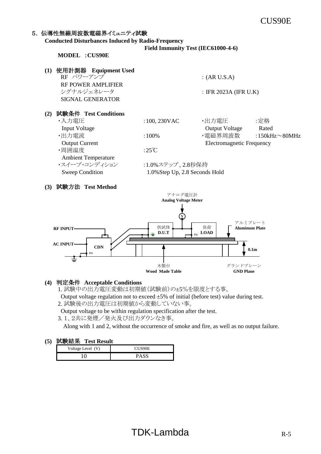#### 5. 伝導性無線周波数電磁界イミュニティ試験

**Conducted Disturbances Induced by Radio-Frequency**

 **Field Immunity Test (IEC61000-4-6)**

**MODEL** :**CUS90E**

**(1)** 使用計測器  **Equipment Used**  $RF \sim \sqrt{U-T}$  : (AR U.S.A) RF POWER AMPLIFIER<br>シグナルジェネレータ  $:$  IFR 2023A (IFR U.K) SIGNAL GENERATOR

#### **(2)** 試験条件 **Test Conditions**

| ・入力電圧                      | $:100,230$ VAC                 | ・出力電圧                            | :定格                  |
|----------------------------|--------------------------------|----------------------------------|----------------------|
| <b>Input Voltage</b>       |                                | <b>Output Voltage</b>            | Rated                |
| ・出力電流                      | $:100\%$                       | ·電磁界周波数                          | :150kHz $\sim$ 80MHz |
| <b>Output Current</b>      |                                | <b>Electromagnetic Frequency</b> |                      |
| ・周囲温度                      | :25°C                          |                                  |                      |
| <b>Ambient Temperature</b> |                                |                                  |                      |
| ・スイープ・コンディション              | :1.0%ステップ、2.8秒保持               |                                  |                      |
| <b>Sweep Condition</b>     | 1.0% Step Up, 2.8 Seconds Hold |                                  |                      |
|                            |                                |                                  |                      |

#### **(3)** 試験方法 **Test Method**



#### **(4)** 判定条件 **Acceptable Conditions**

1. 試験中の出力電圧変動は初期値(試験前)の±5%を限度とする事。

Output voltage regulation not to exceed  $\pm 5\%$  of initial (before test) value during test. 2. 試験後の出力電圧は初期値から変動していない事。

Output voltage to be within regulation specification after the test.

3.1、2共に発煙/発火及び出力ダウンなき事。

Along with 1 and 2, without the occurrence of smoke and fire, as well as no output failure.

| Voltage Level (V) | CUS90E                         |
|-------------------|--------------------------------|
|                   | $\mathbf{U}$ $\mathbf{\Delta}$ |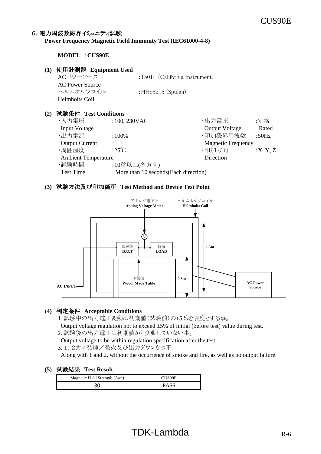#### 6. 電力周波数磁界イミュニティ試験

#### **Power Frequency Magnetic Field Immunity Test (IEC61000-4-8)**

#### **MODEL** :**CUS90E**

#### **(1)** 使用計測器 **Equipment Used**

ACパワーソース :1501L (California Instrument) AC Power Source ヘルムホルツコイル :HHS5215 (Spulen) Helmholts Coil

#### **(2)** 試験条件 **Test Conditions**

| ・入力電圧                      | :100, 230VAC                          | ・出力電圧                     | :定格      |
|----------------------------|---------------------------------------|---------------------------|----------|
| <b>Input Voltage</b>       |                                       | <b>Output Voltage</b>     | Rated    |
| ・出力電流                      | $:100\%$                              | ·印加磁界周波数                  | :50Hz    |
| <b>Output Current</b>      |                                       | <b>Magnetic Frequency</b> |          |
| ·周囲温度                      | :25 $\degree$ C                       | ·印加方向                     | :X, Y, Z |
| <b>Ambient Temperature</b> |                                       | Direction                 |          |
| ・試験時間                      | :10秒以上(各方向)                           |                           |          |
| <b>Test Time</b>           | More than 10 seconds (Each direction) |                           |          |
|                            |                                       |                           |          |

#### **(3)** 試験方法及び印加箇所 **Test Method and Device Test Point**



#### **(4)** 判定条件 **Acceptable Conditions**

1. 試験中の出力電圧変動は初期値(試験前)の±5%を限度とする事。

Output voltage regulation not to exceed  $\pm 5\%$  of initial (before test) value during test. 2. 試験後の出力電圧は初期値から変動していない事。

Output voltage to be within regulation specification after the test.

3.1、2共に発煙/発火及び出力ダウンなき事。

Along with 1 and 2, without the occurrence of smoke and fire, as well as no output failure.

| Magnetic Field Strength (A/m) | CUS90E      |
|-------------------------------|-------------|
|                               | <b>PASS</b> |